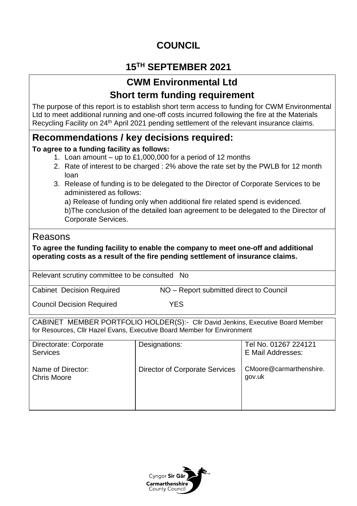# **COUNCIL**

# **15TH SEPTEMBER 2021**

## **CWM Environmental Ltd Short term funding requirement**

The purpose of this report is to establish short term access to funding for CWM Environmental Ltd to meet additional running and one-off costs incurred following the fire at the Materials Recycling Facility on 24<sup>th</sup> April 2021 pending settlement of the relevant insurance claims.

### **Recommendations / key decisions required:**

### **To agree to a funding facility as follows:**

- 1. Loan amount up to £1,000,000 for a period of 12 months
- 2. Rate of interest to be charged : 2% above the rate set by the PWLB for 12 month loan
- 3. Release of funding is to be delegated to the Director of Corporate Services to be administered as follows:

a) Release of funding only when additional fire related spend is evidenced. b)The conclusion of the detailed loan agreement to be delegated to the Director of Corporate Services.

### Reasons

**To agree the funding facility to enable the company to meet one-off and additional operating costs as a result of the fire pending settlement of insurance claims.**

Relevant scrutiny committee to be consulted No

| <b>Cabinet Decision Required</b> | NO – Report submitted direct to Council |
|----------------------------------|-----------------------------------------|

Council Decision Required YES

CABINET MEMBER PORTFOLIO HOLDER(S):- Cllr David Jenkins, Executive Board Member for Resources, Cllr Hazel Evans, Executive Board Member for Environment

| Directorate: Corporate<br><b>Services</b> | Designations:                         | Tel No. 01267 224121<br>E Mail Addresses: |
|-------------------------------------------|---------------------------------------|-------------------------------------------|
| Name of Director:<br><b>Chris Moore</b>   | <b>Director of Corporate Services</b> | CMoore@carmarthenshire.<br>gov.uk         |

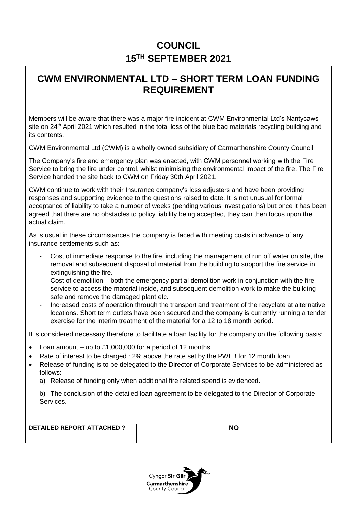# **COUNCIL 15TH SEPTEMBER 2021**

## **CWM ENVIRONMENTAL LTD – SHORT TERM LOAN FUNDING REQUIREMENT**

Members will be aware that there was a major fire incident at CWM Environmental Ltd's Nantycaws site on 24<sup>th</sup> April 2021 which resulted in the total loss of the blue bag materials recycling building and its contents.

CWM Environmental Ltd (CWM) is a wholly owned subsidiary of Carmarthenshire County Council

The Company's fire and emergency plan was enacted, with CWM personnel working with the Fire Service to bring the fire under control, whilst minimising the environmental impact of the fire. The Fire Service handed the site back to CWM on Friday 30th April 2021.

CWM continue to work with their Insurance company's loss adjusters and have been providing responses and supporting evidence to the questions raised to date. It is not unusual for formal acceptance of liability to take a number of weeks (pending various investigations) but once it has been agreed that there are no obstacles to policy liability being accepted, they can then focus upon the actual claim.

As is usual in these circumstances the company is faced with meeting costs in advance of any insurance settlements such as:

- Cost of immediate response to the fire, including the management of run off water on site, the removal and subsequent disposal of material from the building to support the fire service in extinguishing the fire.
- Cost of demolition both the emergency partial demolition work in conjunction with the fire service to access the material inside, and subsequent demolition work to make the building safe and remove the damaged plant etc.
- Increased costs of operation through the transport and treatment of the recyclate at alternative locations. Short term outlets have been secured and the company is currently running a tender exercise for the interim treatment of the material for a 12 to 18 month period.

It is considered necessary therefore to facilitate a loan facility for the company on the following basis:

- Loan amount up to £1,000,000 for a period of 12 months
- Rate of interest to be charged : 2% above the rate set by the PWLB for 12 month loan
- Release of funding is to be delegated to the Director of Corporate Services to be administered as follows:
	- a) Release of funding only when additional fire related spend is evidenced.

b) The conclusion of the detailed loan agreement to be delegated to the Director of Corporate Services.

**DETAILED REPORT ATTACHED ? NO**

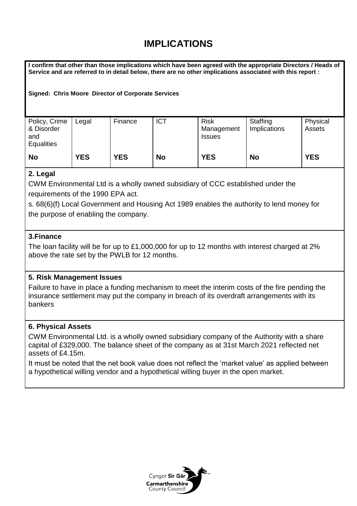## **IMPLICATIONS**

**I confirm that other than those implications which have been agreed with the appropriate Directors / Heads of Service and are referred to in detail below, there are no other implications associated with this report :**

**Signed: Chris Moore Director of Corporate Services** 

| Policy, Crime<br>& Disorder<br>and<br><b>Equalities</b> | Legal      | Finance    | <b>ICT</b> | <b>Risk</b><br>Management<br><b>Issues</b> | Staffing<br>Implications | Physical<br>Assets |
|---------------------------------------------------------|------------|------------|------------|--------------------------------------------|--------------------------|--------------------|
| <b>No</b>                                               | <b>YES</b> | <b>YES</b> | <b>No</b>  | <b>YES</b>                                 | <b>No</b>                | <b>YES</b>         |

### **2. Legal**

CWM Environmental Ltd is a wholly owned subsidiary of CCC established under the requirements of the 1990 EPA act.

s. 68(6)(f) Local Government and Housing Act 1989 enables the authority to lend money for the purpose of enabling the company.

#### **3.Finance**

The loan facility will be for up to £1,000,000 for up to 12 months with interest charged at 2% above the rate set by the PWLB for 12 months.

#### **5. Risk Management Issues**

Failure to have in place a funding mechanism to meet the interim costs of the fire pending the insurance settlement may put the company in breach of its overdraft arrangements with its bankers

#### **6. Physical Assets**

CWM Environmental Ltd. is a wholly owned subsidiary company of the Authority with a share capital of £329,000. The balance sheet of the company as at 31st March 2021 reflected net assets of £4.15m.

It must be noted that the net book value does not reflect the 'market value' as applied between a hypothetical willing vendor and a hypothetical willing buyer in the open market.